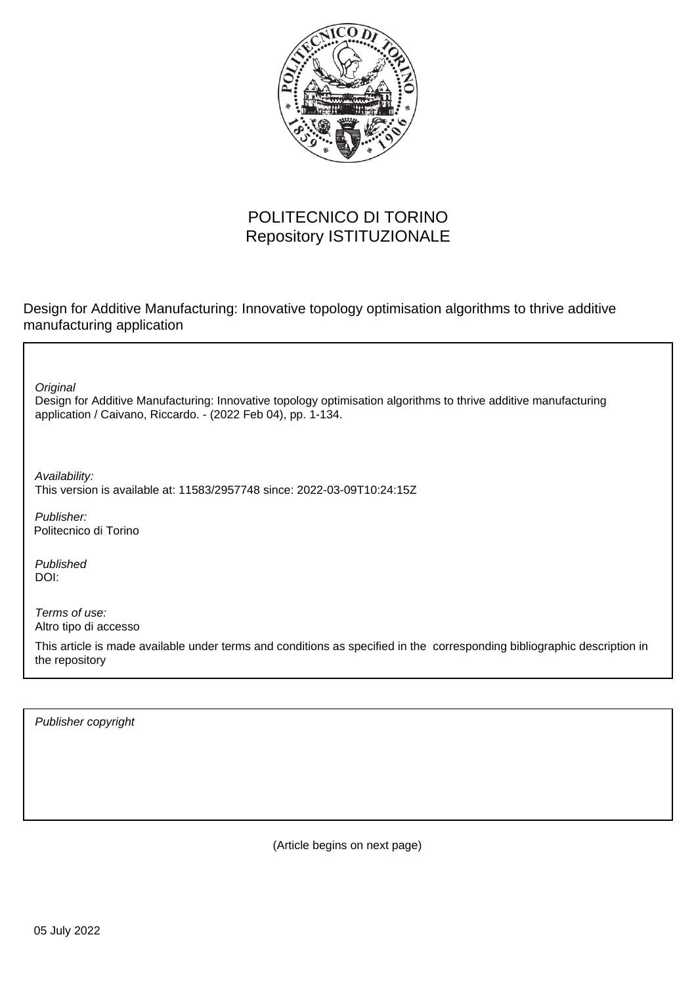

## POLITECNICO DI TORINO Repository ISTITUZIONALE

Design for Additive Manufacturing: Innovative topology optimisation algorithms to thrive additive manufacturing application

**Original** 

Design for Additive Manufacturing: Innovative topology optimisation algorithms to thrive additive manufacturing application / Caivano, Riccardo. - (2022 Feb 04), pp. 1-134.

Availability: This version is available at: 11583/2957748 since: 2022-03-09T10:24:15Z

Publisher: Politecnico di Torino

Published DOI:

Terms of use: Altro tipo di accesso

This article is made available under terms and conditions as specified in the corresponding bibliographic description in the repository

Publisher copyright

(Article begins on next page)